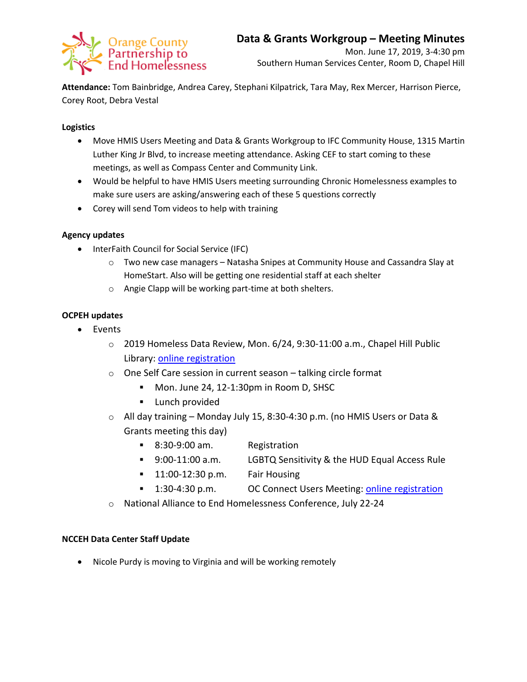

**Attendance:** Tom Bainbridge, Andrea Carey, Stephani Kilpatrick, Tara May, Rex Mercer, Harrison Pierce, Corey Root, Debra Vestal

## **Logistics**

- Move HMIS Users Meeting and Data & Grants Workgroup to IFC Community House, 1315 Martin Luther King Jr Blvd, to increase meeting attendance. Asking CEF to start coming to these meetings, as well as Compass Center and Community Link.
- Would be helpful to have HMIS Users meeting surrounding Chronic Homelessness examples to make sure users are asking/answering each of these 5 questions correctly
- Corey will send Tom videos to help with training

# **Agency updates**

- InterFaith Council for Social Service (IFC)
	- $\circ$  Two new case managers Natasha Snipes at Community House and Cassandra Slay at HomeStart. Also will be getting one residential staff at each shelter
	- o Angie Clapp will be working part-time at both shelters.

# **OCPEH updates**

- Events
	- o 2019 Homeless Data Review, Mon. 6/24, 9:30-11:00 a.m., Chapel Hill Public Library: [online registration](https://www.eventbrite.com/e/2019-homeless-data-review-tickets-61690352505)
	- o One Self Care session in current season talking circle format
		- Mon. June 24, 12-1:30pm in Room D, SHSC
		- **Lunch provided**
	- o All day training Monday July 15, 8:30-4:30 p.m. (no HMIS Users or Data & Grants meeting this day)
		- 8:30-9:00 am. Registration
		- 9:00-11:00 a.m. LGBTQ Sensitivity & the HUD Equal Access Rule
		- **11:00-12:30 p.m. Fair Housing**
		- <sup>1</sup>:30-4:30 p.m. OC Connect Users Meeting: [online registration](https://forms.gle/qFyzDrkuog9JozMD9)
	- o National Alliance to End Homelessness Conference, July 22-24

### **NCCEH Data Center Staff Update**

Nicole Purdy is moving to Virginia and will be working remotely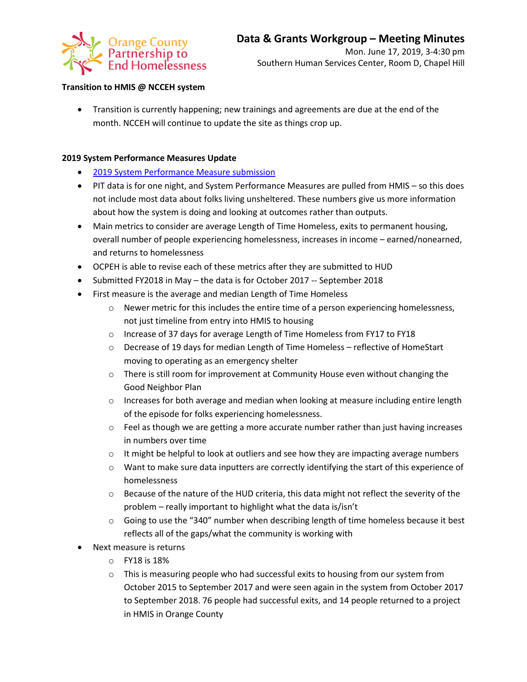

### **Transition to HMIS @ NCCEH system**

 Transition is currently happening; new trainings and agreements are due at the end of the month. NCCEH will continue to update the site as things crop up.

#### **2019 System Performance Measures Update**

- [2019 System Performance Measure submission](https://docs.wixstatic.com/ugd/750b3b_a6f5bb8d3c0449a9a007f4b14e4df670.pdf)
- PIT data is for one night, and System Performance Measures are pulled from HMIS so this does not include most data about folks living unsheltered. These numbers give us more information about how the system is doing and looking at outcomes rather than outputs.
- Main metrics to consider are average Length of Time Homeless, exits to permanent housing, overall number of people experiencing homelessness, increases in income – earned/nonearned, and returns to homelessness
- OCPEH is able to revise each of these metrics after they are submitted to HUD
- Submitted FY2018 in May the data is for October 2017 -- September 2018
- First measure is the average and median Length of Time Homeless
	- o Newer metric for this includes the entire time of a person experiencing homelessness, not just timeline from entry into HMIS to housing
	- o Increase of 37 days for average Length of Time Homeless from FY17 to FY18
	- $\circ$  Decrease of 19 days for median Length of Time Homeless reflective of HomeStart moving to operating as an emergency shelter
	- o There is still room for improvement at Community House even without changing the Good Neighbor Plan
	- $\circ$  Increases for both average and median when looking at measure including entire length of the episode for folks experiencing homelessness.
	- $\circ$  Feel as though we are getting a more accurate number rather than just having increases in numbers over time
	- $\circ$  It might be helpful to look at outliers and see how they are impacting average numbers
	- o Want to make sure data inputters are correctly identifying the start of this experience of homelessness
	- $\circ$  Because of the nature of the HUD criteria, this data might not reflect the severity of the problem – really important to highlight what the data is/isn't
	- $\circ$  Going to use the "340" number when describing length of time homeless because it best reflects all of the gaps/what the community is working with
- Next measure is returns
	- o FY18 is 18%
	- $\circ$  This is measuring people who had successful exits to housing from our system from October 2015 to September 2017 and were seen again in the system from October 2017 to September 2018. 76 people had successful exits, and 14 people returned to a project in HMIS in Orange County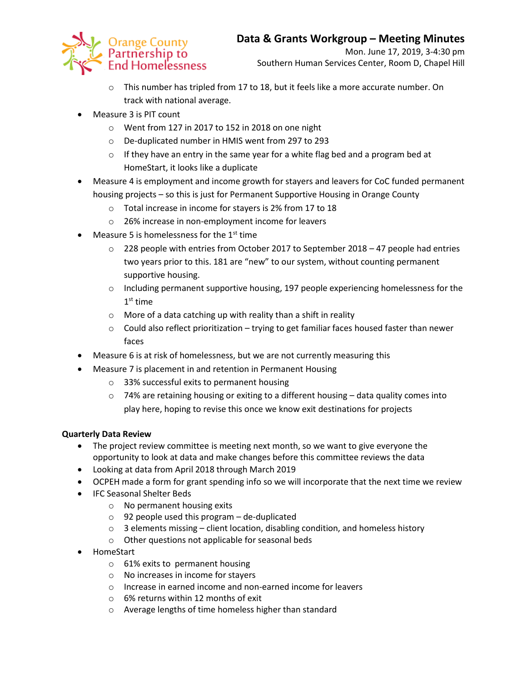

- o This number has tripled from 17 to 18, but it feels like a more accurate number. On track with national average.
- Measure 3 is PIT count
	- o Went from 127 in 2017 to 152 in 2018 on one night
	- o De-duplicated number in HMIS went from 297 to 293
	- $\circ$  If they have an entry in the same year for a white flag bed and a program bed at HomeStart, it looks like a duplicate
- Measure 4 is employment and income growth for stayers and leavers for CoC funded permanent housing projects – so this is just for Permanent Supportive Housing in Orange County
	- o Total increase in income for stayers is 2% from 17 to 18
	- o 26% increase in non-employment income for leavers
- $\bullet$  Measure 5 is homelessness for the 1<sup>st</sup> time
	- $\circ$  228 people with entries from October 2017 to September 2018 47 people had entries two years prior to this. 181 are "new" to our system, without counting permanent supportive housing.
	- $\circ$  Including permanent supportive housing, 197 people experiencing homelessness for the  $1<sup>st</sup>$  time
	- o More of a data catching up with reality than a shift in reality
	- o Could also reflect prioritization trying to get familiar faces housed faster than newer faces
- Measure 6 is at risk of homelessness, but we are not currently measuring this
- Measure 7 is placement in and retention in Permanent Housing
	- o 33% successful exits to permanent housing
	- $\circ$  74% are retaining housing or exiting to a different housing data quality comes into play here, hoping to revise this once we know exit destinations for projects

### **Quarterly Data Review**

- The project review committee is meeting next month, so we want to give everyone the opportunity to look at data and make changes before this committee reviews the data
- Looking at data from April 2018 through March 2019
- OCPEH made a form for grant spending info so we will incorporate that the next time we review
- **•** IFC Seasonal Shelter Beds
	- o No permanent housing exits
	- $\circ$  92 people used this program de-duplicated
	- $\circ$  3 elements missing client location, disabling condition, and homeless history
	- o Other questions not applicable for seasonal beds
- HomeStart
	- o 61% exits to permanent housing
	- o No increases in income for stayers
	- o Increase in earned income and non-earned income for leavers
	- o 6% returns within 12 months of exit
	- o Average lengths of time homeless higher than standard